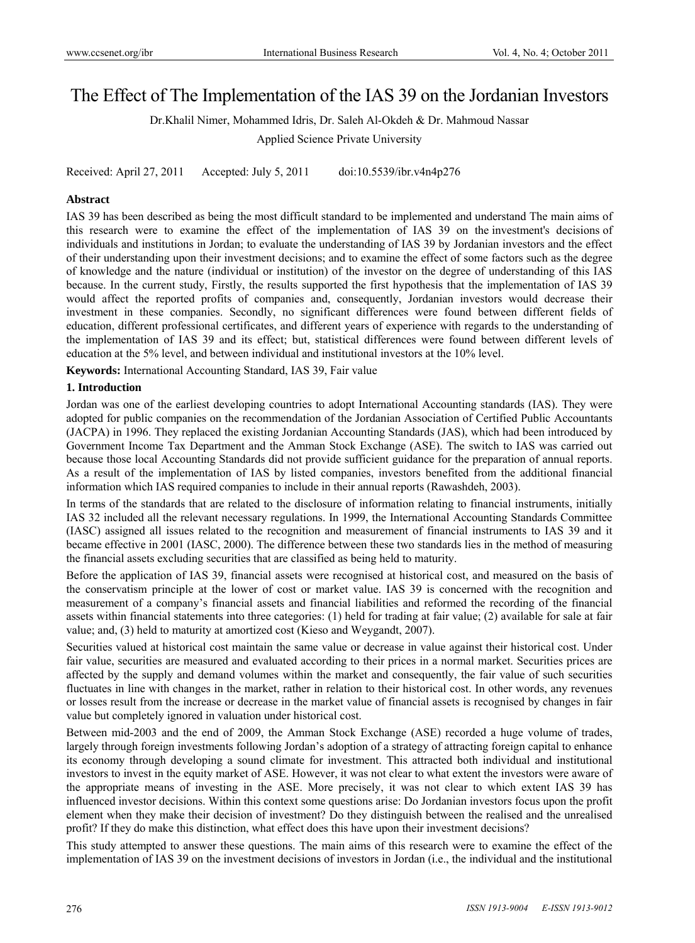# The Effect of The Implementation of the IAS 39 on the Jordanian Investors

Dr.Khalil Nimer, Mohammed Idris, Dr. Saleh Al-Okdeh & Dr. Mahmoud Nassar

Applied Science Private University

Received: April 27, 2011 Accepted: July 5, 2011 doi:10.5539/ibr.v4n4p276

#### **Abstract**

IAS 39 has been described as being the most difficult standard to be implemented and understand The main aims of this research were to examine the effect of the implementation of IAS 39 on the investment's decisions of individuals and institutions in Jordan; to evaluate the understanding of IAS 39 by Jordanian investors and the effect of their understanding upon their investment decisions; and to examine the effect of some factors such as the degree of knowledge and the nature (individual or institution) of the investor on the degree of understanding of this IAS because. In the current study, Firstly, the results supported the first hypothesis that the implementation of IAS 39 would affect the reported profits of companies and, consequently, Jordanian investors would decrease their investment in these companies. Secondly, no significant differences were found between different fields of education, different professional certificates, and different years of experience with regards to the understanding of the implementation of IAS 39 and its effect; but, statistical differences were found between different levels of education at the 5% level, and between individual and institutional investors at the 10% level.

**Keywords:** International Accounting Standard, IAS 39, Fair value

#### **1. Introduction**

Jordan was one of the earliest developing countries to adopt International Accounting standards (IAS). They were adopted for public companies on the recommendation of the Jordanian Association of Certified Public Accountants (JACPA) in 1996. They replaced the existing Jordanian Accounting Standards (JAS), which had been introduced by Government Income Tax Department and the Amman Stock Exchange (ASE). The switch to IAS was carried out because those local Accounting Standards did not provide sufficient guidance for the preparation of annual reports. As a result of the implementation of IAS by listed companies, investors benefited from the additional financial information which IAS required companies to include in their annual reports (Rawashdeh, 2003).

In terms of the standards that are related to the disclosure of information relating to financial instruments, initially IAS 32 included all the relevant necessary regulations. In 1999, the International Accounting Standards Committee (IASC) assigned all issues related to the recognition and measurement of financial instruments to IAS 39 and it became effective in 2001 (IASC, 2000). The difference between these two standards lies in the method of measuring the financial assets excluding securities that are classified as being held to maturity.

Before the application of IAS 39, financial assets were recognised at historical cost, and measured on the basis of the conservatism principle at the lower of cost or market value. IAS 39 is concerned with the recognition and measurement of a company's financial assets and financial liabilities and reformed the recording of the financial assets within financial statements into three categories: (1) held for trading at fair value; (2) available for sale at fair value; and, (3) held to maturity at amortized cost (Kieso and Weygandt, 2007).

Securities valued at historical cost maintain the same value or decrease in value against their historical cost. Under fair value, securities are measured and evaluated according to their prices in a normal market. Securities prices are affected by the supply and demand volumes within the market and consequently, the fair value of such securities fluctuates in line with changes in the market, rather in relation to their historical cost. In other words, any revenues or losses result from the increase or decrease in the market value of financial assets is recognised by changes in fair value but completely ignored in valuation under historical cost.

Between mid-2003 and the end of 2009, the Amman Stock Exchange (ASE) recorded a huge volume of trades, largely through foreign investments following Jordan's adoption of a strategy of attracting foreign capital to enhance its economy through developing a sound climate for investment. This attracted both individual and institutional investors to invest in the equity market of ASE. However, it was not clear to what extent the investors were aware of the appropriate means of investing in the ASE. More precisely, it was not clear to which extent IAS 39 has influenced investor decisions. Within this context some questions arise: Do Jordanian investors focus upon the profit element when they make their decision of investment? Do they distinguish between the realised and the unrealised profit? If they do make this distinction, what effect does this have upon their investment decisions?

This study attempted to answer these questions. The main aims of this research were to examine the effect of the implementation of IAS 39 on the investment decisions of investors in Jordan (i.e., the individual and the institutional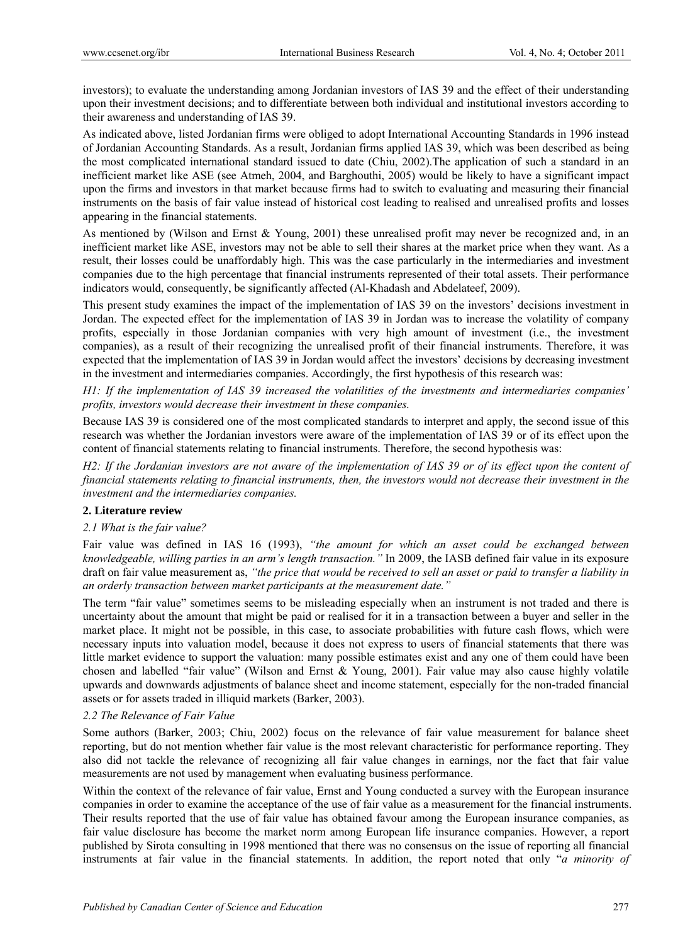investors); to evaluate the understanding among Jordanian investors of IAS 39 and the effect of their understanding upon their investment decisions; and to differentiate between both individual and institutional investors according to their awareness and understanding of IAS 39.

As indicated above, listed Jordanian firms were obliged to adopt International Accounting Standards in 1996 instead of Jordanian Accounting Standards. As a result, Jordanian firms applied IAS 39, which was been described as being the most complicated international standard issued to date (Chiu, 2002).The application of such a standard in an inefficient market like ASE (see Atmeh, 2004, and Barghouthi, 2005) would be likely to have a significant impact upon the firms and investors in that market because firms had to switch to evaluating and measuring their financial instruments on the basis of fair value instead of historical cost leading to realised and unrealised profits and losses appearing in the financial statements.

As mentioned by (Wilson and Ernst & Young, 2001) these unrealised profit may never be recognized and, in an inefficient market like ASE, investors may not be able to sell their shares at the market price when they want. As a result, their losses could be unaffordably high. This was the case particularly in the intermediaries and investment companies due to the high percentage that financial instruments represented of their total assets. Their performance indicators would, consequently, be significantly affected (Al-Khadash and Abdelateef, 2009).

This present study examines the impact of the implementation of IAS 39 on the investors' decisions investment in Jordan. The expected effect for the implementation of IAS 39 in Jordan was to increase the volatility of company profits, especially in those Jordanian companies with very high amount of investment (i.e., the investment companies), as a result of their recognizing the unrealised profit of their financial instruments. Therefore, it was expected that the implementation of IAS 39 in Jordan would affect the investors' decisions by decreasing investment in the investment and intermediaries companies. Accordingly, the first hypothesis of this research was:

*H1: If the implementation of IAS 39 increased the volatilities of the investments and intermediaries companies' profits, investors would decrease their investment in these companies.* 

Because IAS 39 is considered one of the most complicated standards to interpret and apply, the second issue of this research was whether the Jordanian investors were aware of the implementation of IAS 39 or of its effect upon the content of financial statements relating to financial instruments. Therefore, the second hypothesis was:

*H2: If the Jordanian investors are not aware of the implementation of IAS 39 or of its effect upon the content of financial statements relating to financial instruments, then, the investors would not decrease their investment in the investment and the intermediaries companies.* 

## **2. Literature review**

## *2.1 What is the fair value?*

Fair value was defined in IAS 16 (1993), *"the amount for which an asset could be exchanged between knowledgeable, willing parties in an arm's length transaction."* In 2009, the IASB defined fair value in its exposure draft on fair value measurement as, *"the price that would be received to sell an asset or paid to transfer a liability in an orderly transaction between market participants at the measurement date."*

The term "fair value" sometimes seems to be misleading especially when an instrument is not traded and there is uncertainty about the amount that might be paid or realised for it in a transaction between a buyer and seller in the market place. It might not be possible, in this case, to associate probabilities with future cash flows, which were necessary inputs into valuation model, because it does not express to users of financial statements that there was little market evidence to support the valuation: many possible estimates exist and any one of them could have been chosen and labelled "fair value" (Wilson and Ernst & Young, 2001). Fair value may also cause highly volatile upwards and downwards adjustments of balance sheet and income statement, especially for the non-traded financial assets or for assets traded in illiquid markets (Barker, 2003).

## *2.2 The Relevance of Fair Value*

Some authors (Barker, 2003; Chiu, 2002) focus on the relevance of fair value measurement for balance sheet reporting, but do not mention whether fair value is the most relevant characteristic for performance reporting. They also did not tackle the relevance of recognizing all fair value changes in earnings, nor the fact that fair value measurements are not used by management when evaluating business performance.

Within the context of the relevance of fair value, Ernst and Young conducted a survey with the European insurance companies in order to examine the acceptance of the use of fair value as a measurement for the financial instruments. Their results reported that the use of fair value has obtained favour among the European insurance companies, as fair value disclosure has become the market norm among European life insurance companies. However, a report published by Sirota consulting in 1998 mentioned that there was no consensus on the issue of reporting all financial instruments at fair value in the financial statements. In addition, the report noted that only "*a minority of*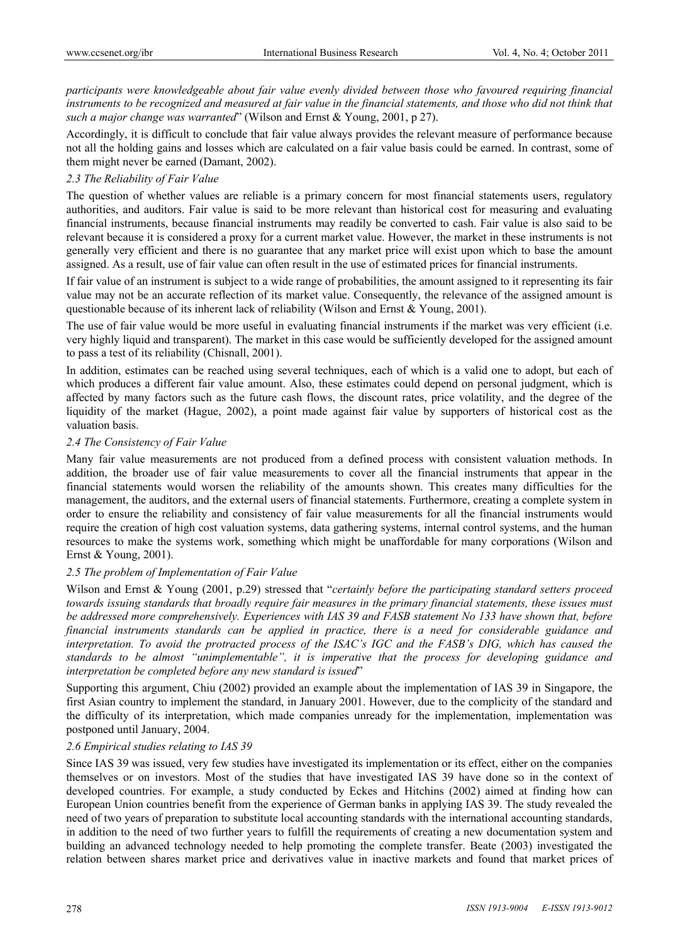*participants were knowledgeable about fair value evenly divided between those who favoured requiring financial* instruments to be recognized and measured at fair value in the financial statements, and those who did not think that *such a major change was warranted*" (Wilson and Ernst & Young, 2001, p 27).

Accordingly, it is difficult to conclude that fair value always provides the relevant measure of performance because not all the holding gains and losses which are calculated on a fair value basis could be earned. In contrast, some of them might never be earned (Damant, 2002).

## *2.3 The Reliability of Fair Value*

The question of whether values are reliable is a primary concern for most financial statements users, regulatory authorities, and auditors. Fair value is said to be more relevant than historical cost for measuring and evaluating financial instruments, because financial instruments may readily be converted to cash. Fair value is also said to be relevant because it is considered a proxy for a current market value. However, the market in these instruments is not generally very efficient and there is no guarantee that any market price will exist upon which to base the amount assigned. As a result, use of fair value can often result in the use of estimated prices for financial instruments.

If fair value of an instrument is subject to a wide range of probabilities, the amount assigned to it representing its fair value may not be an accurate reflection of its market value. Consequently, the relevance of the assigned amount is questionable because of its inherent lack of reliability (Wilson and Ernst & Young, 2001).

The use of fair value would be more useful in evaluating financial instruments if the market was very efficient (i.e. very highly liquid and transparent). The market in this case would be sufficiently developed for the assigned amount to pass a test of its reliability (Chisnall, 2001).

In addition, estimates can be reached using several techniques, each of which is a valid one to adopt, but each of which produces a different fair value amount. Also, these estimates could depend on personal judgment, which is affected by many factors such as the future cash flows, the discount rates, price volatility, and the degree of the liquidity of the market (Hague, 2002), a point made against fair value by supporters of historical cost as the valuation basis.

## *2.4 The Consistency of Fair Value*

Many fair value measurements are not produced from a defined process with consistent valuation methods. In addition, the broader use of fair value measurements to cover all the financial instruments that appear in the financial statements would worsen the reliability of the amounts shown. This creates many difficulties for the management, the auditors, and the external users of financial statements. Furthermore, creating a complete system in order to ensure the reliability and consistency of fair value measurements for all the financial instruments would require the creation of high cost valuation systems, data gathering systems, internal control systems, and the human resources to make the systems work, something which might be unaffordable for many corporations (Wilson and Ernst & Young, 2001).

## *2.5 The problem of Implementation of Fair Value*

Wilson and Ernst & Young (2001, p.29) stressed that "*certainly before the participating standard setters proceed towards issuing standards that broadly require fair measures in the primary financial statements, these issues must be addressed more comprehensively. Experiences with IAS 39 and FASB statement No 133 have shown that, before financial instruments standards can be applied in practice, there is a need for considerable guidance and interpretation. To avoid the protracted process of the ISAC's IGC and the FASB's DIG, which has caused the standards to be almost "unimplementable", it is imperative that the process for developing guidance and interpretation be completed before any new standard is issued*"

Supporting this argument, Chiu (2002) provided an example about the implementation of IAS 39 in Singapore, the first Asian country to implement the standard, in January 2001. However, due to the complicity of the standard and the difficulty of its interpretation, which made companies unready for the implementation, implementation was postponed until January, 2004.

## *2.6 Empirical studies relating to IAS 39*

Since IAS 39 was issued, very few studies have investigated its implementation or its effect, either on the companies themselves or on investors. Most of the studies that have investigated IAS 39 have done so in the context of developed countries. For example, a study conducted by Eckes and Hitchins (2002) aimed at finding how can European Union countries benefit from the experience of German banks in applying IAS 39. The study revealed the need of two years of preparation to substitute local accounting standards with the international accounting standards, in addition to the need of two further years to fulfill the requirements of creating a new documentation system and building an advanced technology needed to help promoting the complete transfer. Beate (2003) investigated the relation between shares market price and derivatives value in inactive markets and found that market prices of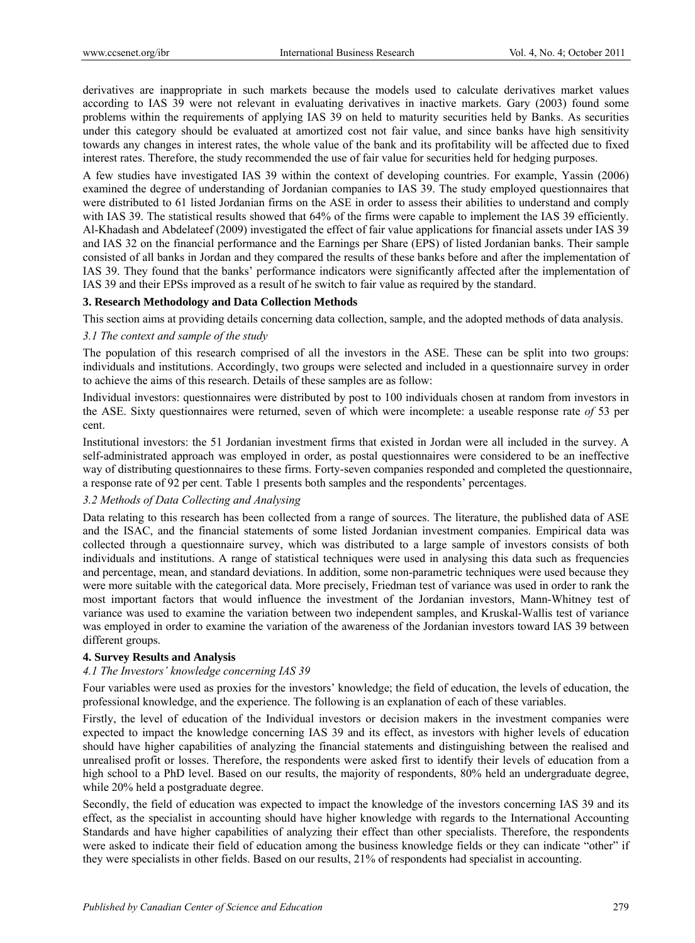derivatives are inappropriate in such markets because the models used to calculate derivatives market values according to IAS 39 were not relevant in evaluating derivatives in inactive markets. Gary (2003) found some problems within the requirements of applying IAS 39 on held to maturity securities held by Banks. As securities under this category should be evaluated at amortized cost not fair value, and since banks have high sensitivity towards any changes in interest rates, the whole value of the bank and its profitability will be affected due to fixed interest rates. Therefore, the study recommended the use of fair value for securities held for hedging purposes.

A few studies have investigated IAS 39 within the context of developing countries. For example, Yassin (2006) examined the degree of understanding of Jordanian companies to IAS 39. The study employed questionnaires that were distributed to 61 listed Jordanian firms on the ASE in order to assess their abilities to understand and comply with IAS 39. The statistical results showed that 64% of the firms were capable to implement the IAS 39 efficiently. Al-Khadash and Abdelateef (2009) investigated the effect of fair value applications for financial assets under IAS 39 and IAS 32 on the financial performance and the Earnings per Share (EPS) of listed Jordanian banks. Their sample consisted of all banks in Jordan and they compared the results of these banks before and after the implementation of IAS 39. They found that the banks' performance indicators were significantly affected after the implementation of IAS 39 and their EPSs improved as a result of he switch to fair value as required by the standard.

## **3. Research Methodology and Data Collection Methods**

This section aims at providing details concerning data collection, sample, and the adopted methods of data analysis.

## *3.1 The context and sample of the study*

The population of this research comprised of all the investors in the ASE. These can be split into two groups: individuals and institutions. Accordingly, two groups were selected and included in a questionnaire survey in order to achieve the aims of this research. Details of these samples are as follow:

Individual investors: questionnaires were distributed by post to 100 individuals chosen at random from investors in the ASE. Sixty questionnaires were returned, seven of which were incomplete: a useable response rate *of* 53 per cent.

Institutional investors: the 51 Jordanian investment firms that existed in Jordan were all included in the survey. A self-administrated approach was employed in order, as postal questionnaires were considered to be an ineffective way of distributing questionnaires to these firms. Forty-seven companies responded and completed the questionnaire, a response rate of 92 per cent. Table 1 presents both samples and the respondents' percentages.

## *3.2 Methods of Data Collecting and Analysing*

Data relating to this research has been collected from a range of sources. The literature, the published data of ASE and the ISAC, and the financial statements of some listed Jordanian investment companies. Empirical data was collected through a questionnaire survey, which was distributed to a large sample of investors consists of both individuals and institutions. A range of statistical techniques were used in analysing this data such as frequencies and percentage, mean, and standard deviations. In addition, some non-parametric techniques were used because they were more suitable with the categorical data. More precisely, Friedman test of variance was used in order to rank the most important factors that would influence the investment of the Jordanian investors, Mann-Whitney test of variance was used to examine the variation between two independent samples, and Kruskal-Wallis test of variance was employed in order to examine the variation of the awareness of the Jordanian investors toward IAS 39 between different groups.

## **4. Survey Results and Analysis**

## *4.1 The Investors' knowledge concerning IAS 39*

Four variables were used as proxies for the investors' knowledge; the field of education, the levels of education, the professional knowledge, and the experience. The following is an explanation of each of these variables.

Firstly, the level of education of the Individual investors or decision makers in the investment companies were expected to impact the knowledge concerning IAS 39 and its effect, as investors with higher levels of education should have higher capabilities of analyzing the financial statements and distinguishing between the realised and unrealised profit or losses. Therefore, the respondents were asked first to identify their levels of education from a high school to a PhD level. Based on our results, the majority of respondents, 80% held an undergraduate degree, while 20% held a postgraduate degree.

Secondly, the field of education was expected to impact the knowledge of the investors concerning IAS 39 and its effect, as the specialist in accounting should have higher knowledge with regards to the International Accounting Standards and have higher capabilities of analyzing their effect than other specialists. Therefore, the respondents were asked to indicate their field of education among the business knowledge fields or they can indicate "other" if they were specialists in other fields. Based on our results, 21% of respondents had specialist in accounting.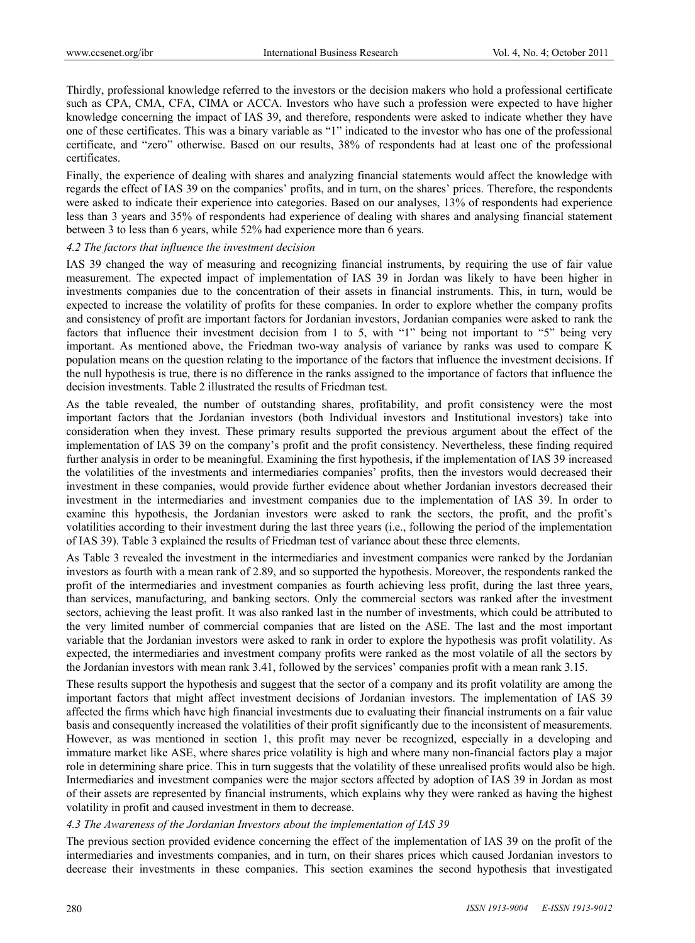Thirdly, professional knowledge referred to the investors or the decision makers who hold a professional certificate such as CPA, CMA, CFA, CIMA or ACCA. Investors who have such a profession were expected to have higher knowledge concerning the impact of IAS 39, and therefore, respondents were asked to indicate whether they have one of these certificates. This was a binary variable as "1" indicated to the investor who has one of the professional certificate, and "zero" otherwise. Based on our results, 38% of respondents had at least one of the professional certificates.

Finally, the experience of dealing with shares and analyzing financial statements would affect the knowledge with regards the effect of IAS 39 on the companies' profits, and in turn, on the shares' prices. Therefore, the respondents were asked to indicate their experience into categories. Based on our analyses, 13% of respondents had experience less than 3 years and 35% of respondents had experience of dealing with shares and analysing financial statement between 3 to less than 6 years, while 52% had experience more than 6 years.

## *4.2 The factors that influence the investment decision*

IAS 39 changed the way of measuring and recognizing financial instruments, by requiring the use of fair value measurement. The expected impact of implementation of IAS 39 in Jordan was likely to have been higher in investments companies due to the concentration of their assets in financial instruments. This, in turn, would be expected to increase the volatility of profits for these companies. In order to explore whether the company profits and consistency of profit are important factors for Jordanian investors, Jordanian companies were asked to rank the factors that influence their investment decision from 1 to 5, with "1" being not important to "5" being very important. As mentioned above, the Friedman two-way analysis of variance by ranks was used to compare K population means on the question relating to the importance of the factors that influence the investment decisions. If the null hypothesis is true, there is no difference in the ranks assigned to the importance of factors that influence the decision investments. Table 2 illustrated the results of Friedman test.

As the table revealed, the number of outstanding shares, profitability, and profit consistency were the most important factors that the Jordanian investors (both Individual investors and Institutional investors) take into consideration when they invest. These primary results supported the previous argument about the effect of the implementation of IAS 39 on the company's profit and the profit consistency. Nevertheless, these finding required further analysis in order to be meaningful. Examining the first hypothesis, if the implementation of IAS 39 increased the volatilities of the investments and intermediaries companies' profits, then the investors would decreased their investment in these companies, would provide further evidence about whether Jordanian investors decreased their investment in the intermediaries and investment companies due to the implementation of IAS 39. In order to examine this hypothesis, the Jordanian investors were asked to rank the sectors, the profit, and the profit's volatilities according to their investment during the last three years (i.e., following the period of the implementation of IAS 39). Table 3 explained the results of Friedman test of variance about these three elements.

As Table 3 revealed the investment in the intermediaries and investment companies were ranked by the Jordanian investors as fourth with a mean rank of 2.89, and so supported the hypothesis. Moreover, the respondents ranked the profit of the intermediaries and investment companies as fourth achieving less profit, during the last three years, than services, manufacturing, and banking sectors. Only the commercial sectors was ranked after the investment sectors, achieving the least profit. It was also ranked last in the number of investments, which could be attributed to the very limited number of commercial companies that are listed on the ASE. The last and the most important variable that the Jordanian investors were asked to rank in order to explore the hypothesis was profit volatility. As expected, the intermediaries and investment company profits were ranked as the most volatile of all the sectors by the Jordanian investors with mean rank 3.41, followed by the services' companies profit with a mean rank 3.15.

These results support the hypothesis and suggest that the sector of a company and its profit volatility are among the important factors that might affect investment decisions of Jordanian investors. The implementation of IAS 39 affected the firms which have high financial investments due to evaluating their financial instruments on a fair value basis and consequently increased the volatilities of their profit significantly due to the inconsistent of measurements. However, as was mentioned in section 1, this profit may never be recognized, especially in a developing and immature market like ASE, where shares price volatility is high and where many non-financial factors play a major role in determining share price. This in turn suggests that the volatility of these unrealised profits would also be high. Intermediaries and investment companies were the major sectors affected by adoption of IAS 39 in Jordan as most of their assets are represented by financial instruments, which explains why they were ranked as having the highest volatility in profit and caused investment in them to decrease.

## *4.3 The Awareness of the Jordanian Investors about the implementation of IAS 39*

The previous section provided evidence concerning the effect of the implementation of IAS 39 on the profit of the intermediaries and investments companies, and in turn, on their shares prices which caused Jordanian investors to decrease their investments in these companies. This section examines the second hypothesis that investigated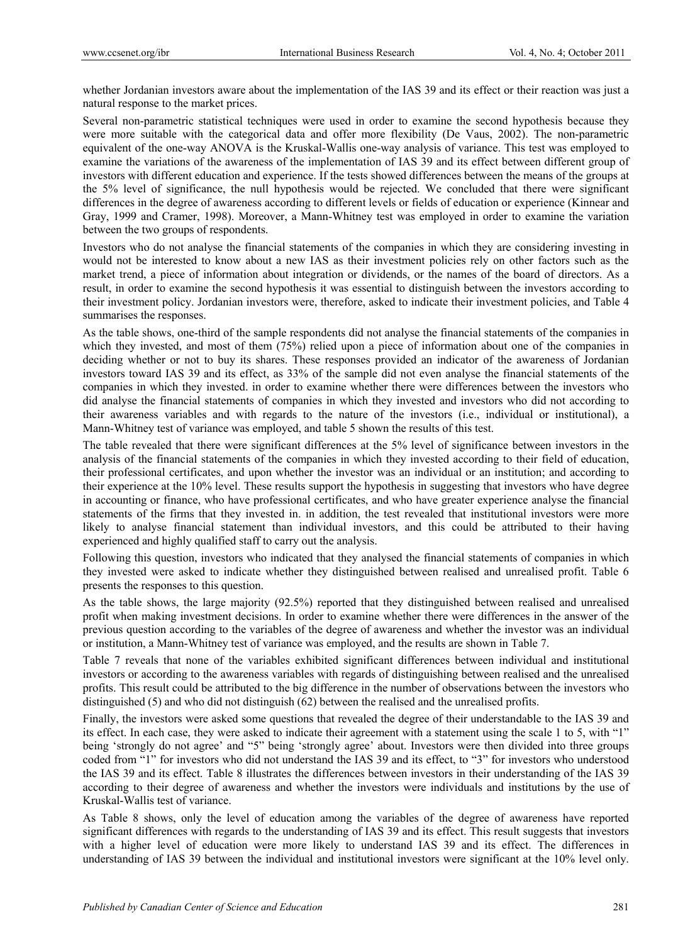whether Jordanian investors aware about the implementation of the IAS 39 and its effect or their reaction was just a natural response to the market prices.

Several non-parametric statistical techniques were used in order to examine the second hypothesis because they were more suitable with the categorical data and offer more flexibility (De Vaus, 2002). The non-parametric equivalent of the one-way ANOVA is the Kruskal-Wallis one-way analysis of variance. This test was employed to examine the variations of the awareness of the implementation of IAS 39 and its effect between different group of investors with different education and experience. If the tests showed differences between the means of the groups at the 5% level of significance, the null hypothesis would be rejected. We concluded that there were significant differences in the degree of awareness according to different levels or fields of education or experience (Kinnear and Gray, 1999 and Cramer, 1998). Moreover, a Mann-Whitney test was employed in order to examine the variation between the two groups of respondents.

Investors who do not analyse the financial statements of the companies in which they are considering investing in would not be interested to know about a new IAS as their investment policies rely on other factors such as the market trend, a piece of information about integration or dividends, or the names of the board of directors. As a result, in order to examine the second hypothesis it was essential to distinguish between the investors according to their investment policy. Jordanian investors were, therefore, asked to indicate their investment policies, and Table 4 summarises the responses.

As the table shows, one-third of the sample respondents did not analyse the financial statements of the companies in which they invested, and most of them (75%) relied upon a piece of information about one of the companies in deciding whether or not to buy its shares. These responses provided an indicator of the awareness of Jordanian investors toward IAS 39 and its effect, as 33% of the sample did not even analyse the financial statements of the companies in which they invested. in order to examine whether there were differences between the investors who did analyse the financial statements of companies in which they invested and investors who did not according to their awareness variables and with regards to the nature of the investors (i.e., individual or institutional), a Mann-Whitney test of variance was employed, and table 5 shown the results of this test.

The table revealed that there were significant differences at the 5% level of significance between investors in the analysis of the financial statements of the companies in which they invested according to their field of education, their professional certificates, and upon whether the investor was an individual or an institution; and according to their experience at the 10% level. These results support the hypothesis in suggesting that investors who have degree in accounting or finance, who have professional certificates, and who have greater experience analyse the financial statements of the firms that they invested in. in addition, the test revealed that institutional investors were more likely to analyse financial statement than individual investors, and this could be attributed to their having experienced and highly qualified staff to carry out the analysis.

Following this question, investors who indicated that they analysed the financial statements of companies in which they invested were asked to indicate whether they distinguished between realised and unrealised profit. Table 6 presents the responses to this question.

As the table shows, the large majority (92.5%) reported that they distinguished between realised and unrealised profit when making investment decisions. In order to examine whether there were differences in the answer of the previous question according to the variables of the degree of awareness and whether the investor was an individual or institution, a Mann-Whitney test of variance was employed, and the results are shown in Table 7.

Table 7 reveals that none of the variables exhibited significant differences between individual and institutional investors or according to the awareness variables with regards of distinguishing between realised and the unrealised profits. This result could be attributed to the big difference in the number of observations between the investors who distinguished (5) and who did not distinguish (62) between the realised and the unrealised profits.

Finally, the investors were asked some questions that revealed the degree of their understandable to the IAS 39 and its effect. In each case, they were asked to indicate their agreement with a statement using the scale 1 to 5, with "1" being 'strongly do not agree' and "5" being 'strongly agree' about. Investors were then divided into three groups coded from "1" for investors who did not understand the IAS 39 and its effect, to "3" for investors who understood the IAS 39 and its effect. Table 8 illustrates the differences between investors in their understanding of the IAS 39 according to their degree of awareness and whether the investors were individuals and institutions by the use of Kruskal-Wallis test of variance.

As Table 8 shows, only the level of education among the variables of the degree of awareness have reported significant differences with regards to the understanding of IAS 39 and its effect. This result suggests that investors with a higher level of education were more likely to understand IAS 39 and its effect. The differences in understanding of IAS 39 between the individual and institutional investors were significant at the 10% level only.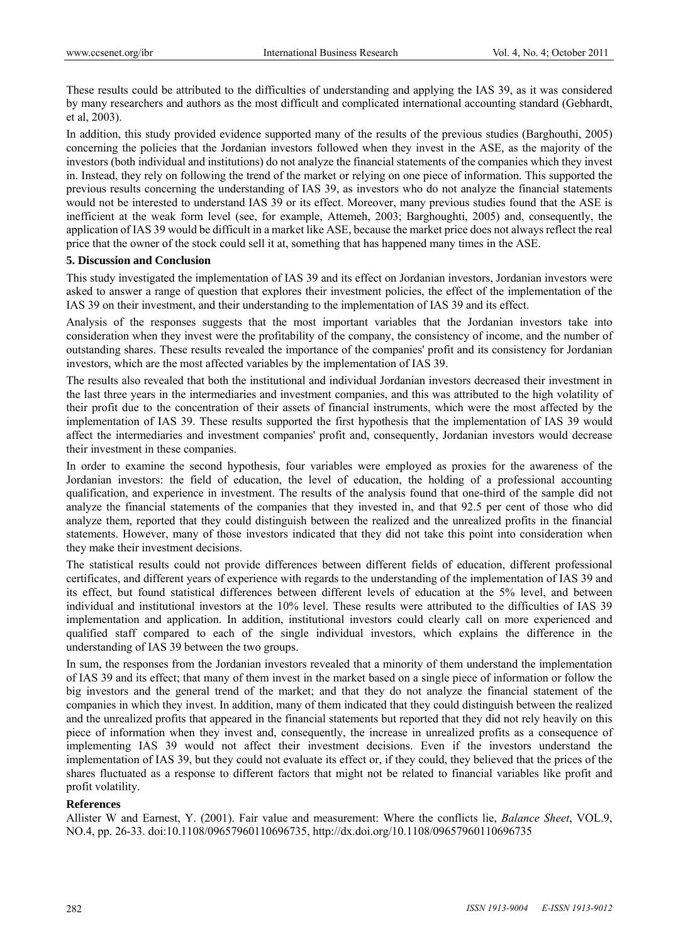These results could be attributed to the difficulties of understanding and applying the IAS 39, as it was considered by many researchers and authors as the most difficult and complicated international accounting standard (Gebhardt, et al, 2003).

In addition, this study provided evidence supported many of the results of the previous studies (Barghouthi, 2005) concerning the policies that the Jordanian investors followed when they invest in the ASE, as the majority of the investors (both individual and institutions) do not analyze the financial statements of the companies which they invest in. Instead, they rely on following the trend of the market or relying on one piece of information. This supported the previous results concerning the understanding of IAS 39, as investors who do not analyze the financial statements would not be interested to understand IAS 39 or its effect. Moreover, many previous studies found that the ASE is inefficient at the weak form level (see, for example, Attemeh, 2003; Barghoughti, 2005) and, consequently, the application of IAS 39 would be difficult in a market like ASE, because the market price does not always reflect the real price that the owner of the stock could sell it at, something that has happened many times in the ASE.

#### **5. Discussion and Conclusion**

This study investigated the implementation of IAS 39 and its effect on Jordanian investors, Jordanian investors were asked to answer a range of question that explores their investment policies, the effect of the implementation of the IAS 39 on their investment, and their understanding to the implementation of IAS 39 and its effect.

Analysis of the responses suggests that the most important variables that the Jordanian investors take into consideration when they invest were the profitability of the company, the consistency of income, and the number of outstanding shares. These results revealed the importance of the companies' profit and its consistency for Jordanian investors, which are the most affected variables by the implementation of IAS 39.

The results also revealed that both the institutional and individual Jordanian investors decreased their investment in the last three years in the intermediaries and investment companies, and this was attributed to the high volatility of their profit due to the concentration of their assets of financial instruments, which were the most affected by the implementation of IAS 39. These results supported the first hypothesis that the implementation of IAS 39 would affect the intermediaries and investment companies' profit and, consequently, Jordanian investors would decrease their investment in these companies.

In order to examine the second hypothesis, four variables were employed as proxies for the awareness of the Jordanian investors: the field of education, the level of education, the holding of a professional accounting qualification, and experience in investment. The results of the analysis found that one-third of the sample did not analyze the financial statements of the companies that they invested in, and that 92.5 per cent of those who did analyze them, reported that they could distinguish between the realized and the unrealized profits in the financial statements. However, many of those investors indicated that they did not take this point into consideration when they make their investment decisions.

The statistical results could not provide differences between different fields of education, different professional certificates, and different years of experience with regards to the understanding of the implementation of IAS 39 and its effect, but found statistical differences between different levels of education at the 5% level, and between individual and institutional investors at the 10% level. These results were attributed to the difficulties of IAS 39 implementation and application. In addition, institutional investors could clearly call on more experienced and qualified staff compared to each of the single individual investors, which explains the difference in the understanding of IAS 39 between the two groups.

In sum, the responses from the Jordanian investors revealed that a minority of them understand the implementation of IAS 39 and its effect; that many of them invest in the market based on a single piece of information or follow the big investors and the general trend of the market; and that they do not analyze the financial statement of the companies in which they invest. In addition, many of them indicated that they could distinguish between the realized and the unrealized profits that appeared in the financial statements but reported that they did not rely heavily on this piece of information when they invest and, consequently, the increase in unrealized profits as a consequence of implementing IAS 39 would not affect their investment decisions. Even if the investors understand the implementation of IAS 39, but they could not evaluate its effect or, if they could, they believed that the prices of the shares fluctuated as a response to different factors that might not be related to financial variables like profit and profit volatility.

## **References**

Allister W and Earnest, Y. (2001). Fair value and measurement: Where the conflicts lie, *Balance Sheet*, VOL.9, NO.4, pp. 26-33. doi:10.1108/09657960110696735, http://dx.doi.org/10.1108/09657960110696735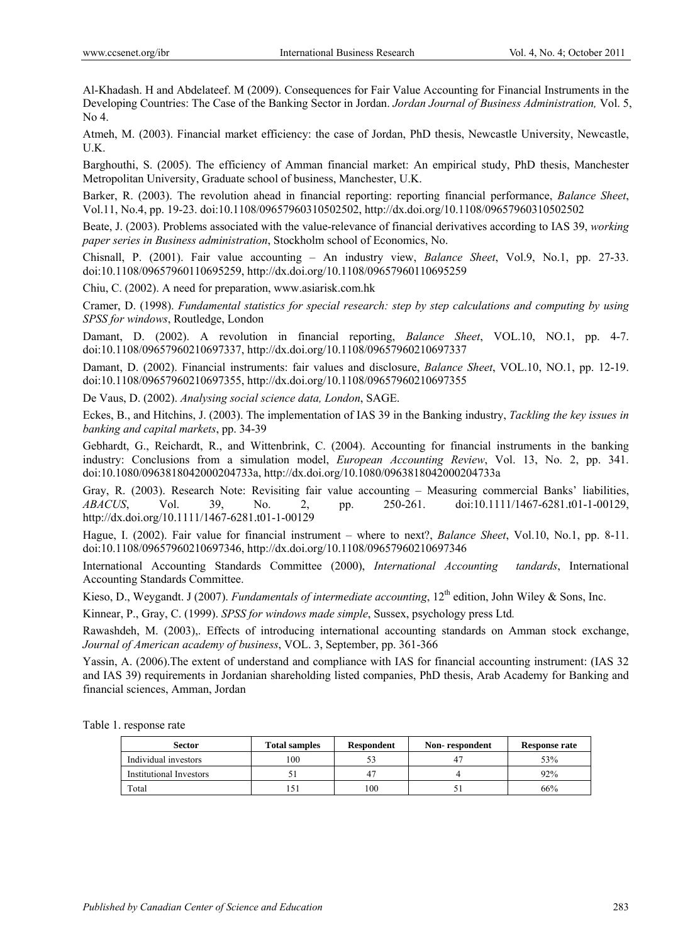Al-Khadash. H and Abdelateef. M (2009). Consequences for Fair Value Accounting for Financial Instruments in the Developing Countries: The Case of the Banking Sector in Jordan. *Jordan Journal of Business Administration,* Vol. 5, No 4.

Atmeh, M. (2003). Financial market efficiency: the case of Jordan, PhD thesis, Newcastle University, Newcastle, U.K.

Barghouthi, S. (2005). The efficiency of Amman financial market: An empirical study, PhD thesis, Manchester Metropolitan University, Graduate school of business, Manchester, U.K.

Barker, R. (2003). The revolution ahead in financial reporting: reporting financial performance, *Balance Sheet*, Vol.11, No.4, pp. 19-23. doi:10.1108/09657960310502502, http://dx.doi.org/10.1108/09657960310502502

Beate, J. (2003). Problems associated with the value-relevance of financial derivatives according to IAS 39, *working paper series in Business administration*, Stockholm school of Economics, No.

Chisnall, P. (2001). Fair value accounting – An industry view, *Balance Sheet*, Vol.9, No.1, pp. 27-33. doi:10.1108/09657960110695259, http://dx.doi.org/10.1108/09657960110695259

Chiu, C. (2002). A need for preparation, www.asiarisk.com.hk

Cramer, D. (1998). *Fundamental statistics for special research: step by step calculations and computing by using SPSS for windows*, Routledge, London

Damant, D. (2002). A revolution in financial reporting, *Balance Sheet*, VOL.10, NO.1, pp. 4-7. doi:10.1108/09657960210697337, http://dx.doi.org/10.1108/09657960210697337

Damant, D. (2002). Financial instruments: fair values and disclosure, *Balance Sheet*, VOL.10, NO.1, pp. 12-19. doi:10.1108/09657960210697355, http://dx.doi.org/10.1108/09657960210697355

De Vaus, D. (2002). *Analysing social science data, London*, SAGE.

Eckes, B., and Hitchins, J. (2003). The implementation of IAS 39 in the Banking industry, *Tackling the key issues in banking and capital markets*, pp. 34-39

Gebhardt, G., Reichardt, R., and Wittenbrink, C. (2004). Accounting for financial instruments in the banking industry: Conclusions from a simulation model, *European Accounting Review*, Vol. 13, No. 2, pp. 341. doi:10.1080/0963818042000204733a, http://dx.doi.org/10.1080/0963818042000204733a

Gray, R. (2003). Research Note: Revisiting fair value accounting – Measuring commercial Banks' liabilities, *ABACUS*, Vol. 39, No. 2, pp. 250-261. doi:10.1111/1467-6281.t01-1-00129, http://dx.doi.org/10.1111/1467-6281.t01-1-00129

Hague, I. (2002). Fair value for financial instrument – where to next?, *Balance Sheet*, Vol.10, No.1, pp. 8-11. doi:10.1108/09657960210697346, http://dx.doi.org/10.1108/09657960210697346

International Accounting Standards Committee (2000), *International Accounting tandards*, International Accounting Standards Committee.

Kieso, D., Weygandt. J (2007). *Fundamentals of intermediate accounting*, 12<sup>th</sup> edition, John Wiley & Sons, Inc.

Kinnear, P., Gray, C. (1999). *SPSS for windows made simple*, Sussex, psychology press Ltd*.*

Rawashdeh, M. (2003),. Effects of introducing international accounting standards on Amman stock exchange, *Journal of American academy of business*, VOL. 3, September, pp. 361-366

Yassin, A. (2006).The extent of understand and compliance with IAS for financial accounting instrument: (IAS 32 and IAS 39) requirements in Jordanian shareholding listed companies, PhD thesis, Arab Academy for Banking and financial sciences, Amman, Jordan

Table 1. response rate

| <b>Sector</b>           | <b>Total samples</b> | <b>Respondent</b> | Non-respondent | <b>Response rate</b> |
|-------------------------|----------------------|-------------------|----------------|----------------------|
| Individual investors    | 100                  |                   |                | 53%                  |
| Institutional Investors |                      |                   |                | 92%                  |
| Total                   |                      | 100               |                | 66%                  |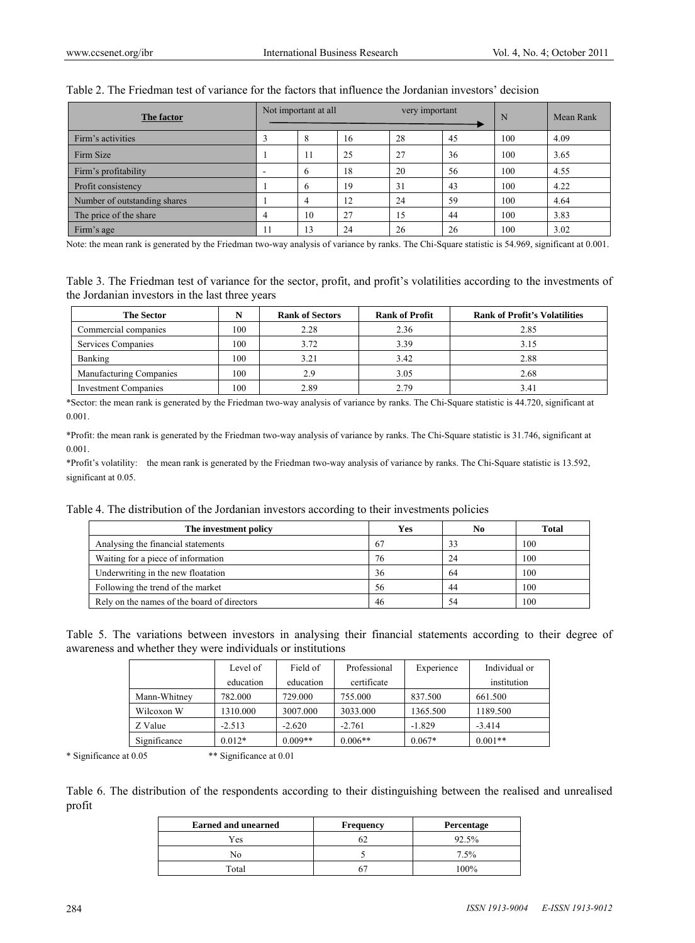| The factor                   | Not important at all<br>very important |    | N  | Mean Rank |    |     |      |
|------------------------------|----------------------------------------|----|----|-----------|----|-----|------|
| Firm's activities            |                                        | ō  | 16 | 28        | 45 | 100 | 4.09 |
| Firm Size                    |                                        | 11 | 25 | 27        | 36 | 100 | 3.65 |
| Firm's profitability         |                                        | b  | 18 | 20        | 56 | 100 | 4.55 |
| Profit consistency           |                                        | h  | 19 | 31        | 43 | 100 | 4.22 |
| Number of outstanding shares |                                        | 4  | 12 | 24        | 59 | 100 | 4.64 |
| The price of the share       |                                        | 10 | 27 | 15        | 44 | 100 | 3.83 |
| Firm's age                   | 11                                     | 13 | 24 | 26        | 26 | 100 | 3.02 |

#### Table 2. The Friedman test of variance for the factors that influence the Jordanian investors' decision

Note: the mean rank is generated by the Friedman two-way analysis of variance by ranks. The Chi-Square statistic is 54.969, significant at 0.001.

Table 3. The Friedman test of variance for the sector, profit, and profit's volatilities according to the investments of the Jordanian investors in the last three years

| <b>The Sector</b>           | N   | <b>Rank of Sectors</b> | <b>Rank of Profit</b> | <b>Rank of Profit's Volatilities</b> |
|-----------------------------|-----|------------------------|-----------------------|--------------------------------------|
| Commercial companies        | 100 | 2.28                   | 2.36                  | 2.85                                 |
| Services Companies          | 100 | 3.72                   | 3.39                  | 3.15                                 |
| Banking                     | 100 | 3.21                   | 3.42                  | 2.88                                 |
| Manufacturing Companies     | 100 | 2.9                    | 3.05                  | 2.68                                 |
| <b>Investment Companies</b> | 100 | 2.89                   | 2.79                  | 3.41                                 |

\*Sector: the mean rank is generated by the Friedman two-way analysis of variance by ranks. The Chi-Square statistic is 44.720, significant at 0.001.

\*Profit: the mean rank is generated by the Friedman two-way analysis of variance by ranks. The Chi-Square statistic is 31.746, significant at 0.001.

\*Profit's volatility: the mean rank is generated by the Friedman two-way analysis of variance by ranks. The Chi-Square statistic is 13.592, significant at 0.05.

Table 4. The distribution of the Jordanian investors according to their investments policies

| The investment policy                       | Yes | No  | <b>Total</b> |
|---------------------------------------------|-----|-----|--------------|
| Analysing the financial statements          | 67  | 33  | 100          |
| Waiting for a piece of information          | 76  | 24  | 100          |
| Underwriting in the new floatation          | 36  | -64 | 100          |
| Following the trend of the market           | 56  | 44  | 100          |
| Rely on the names of the board of directors | 46  | 54  | 100          |

Table 5. The variations between investors in analysing their financial statements according to their degree of awareness and whether they were individuals or institutions

|              | Level of  | Field of  | Professional | Experience | Individual or |
|--------------|-----------|-----------|--------------|------------|---------------|
|              | education | education | certificate  |            | institution   |
| Mann-Whitney | 782,000   | 729,000   | 755,000      | 837.500    | 661.500       |
| Wilcoxon W   | 1310.000  | 3007.000  | 3033.000     | 1365.500   | 1189.500      |
| Z Value      | $-2.513$  | $-2.620$  | $-2.761$     | $-1.829$   | $-3.414$      |
| Significance | $0.012*$  | $0.009**$ | $0.006**$    | $0.067*$   | $0.001**$     |

\* Significance at 0.05 \*\* Significance at 0.01

Table 6. The distribution of the respondents according to their distinguishing between the realised and unrealised profit

| <b>Earned and unearned</b> | <b>Frequency</b> | Percentage |
|----------------------------|------------------|------------|
| Yes                        |                  | 92.5%      |
|                            |                  | 7.5%       |
| Total                      |                  | 100%       |